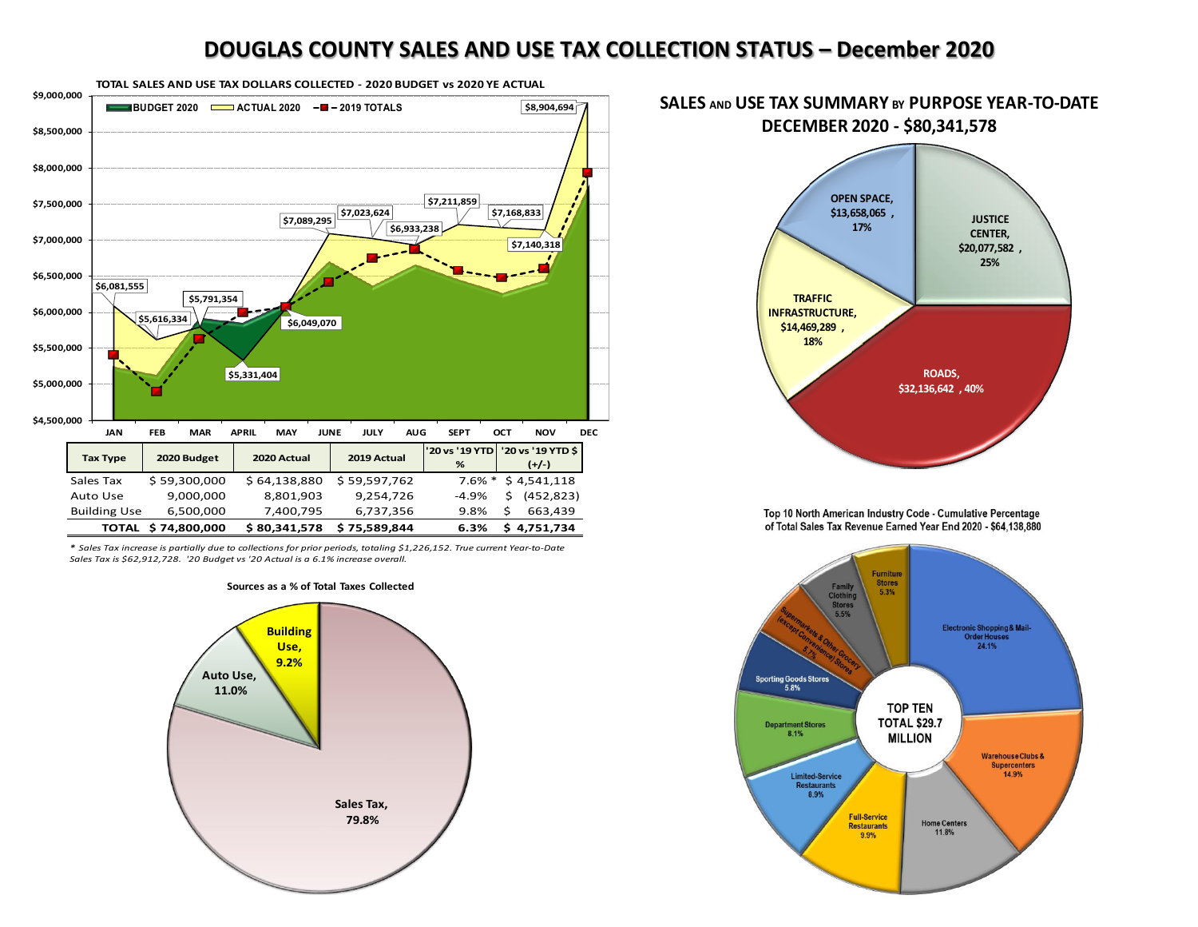## **DOUGLAS COUNTY SALES AND USE TAX COLLECTION STATUS – December 2020**



*\* Sales Tax increase is partially due to collections for prior periods, totaling \$1,226,152. True current Year-to-Date Sales Tax is \$62,912,728. '20 Budget vs '20 Actual is a 6.1% increase overall.* 

## **Sources as a % of Total Taxes Collected**





Top 10 North American Industry Code - Cumulative Percentage of Total Sales Tax Revenue Earned Year End 2020 - \$64,138,880